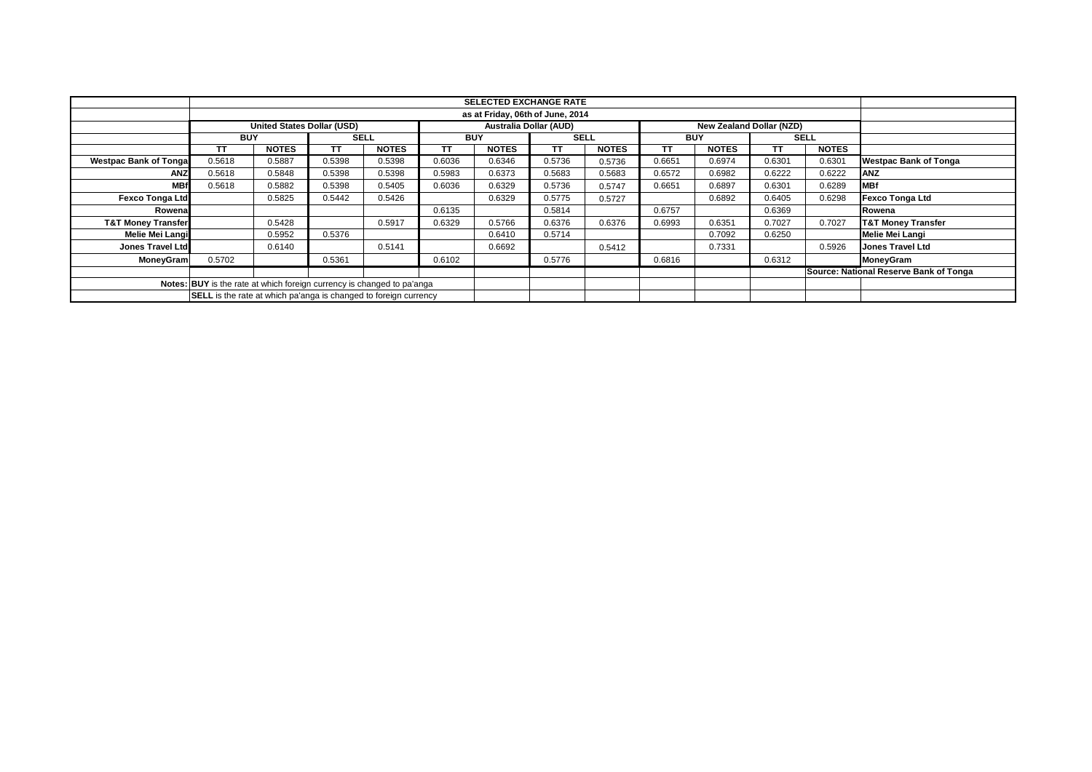|                               | <b>SELECTED EXCHANGE RATE</b>     |                                                                         |        |              |        |              |             |              |        |              |        |              |                                        |
|-------------------------------|-----------------------------------|-------------------------------------------------------------------------|--------|--------------|--------|--------------|-------------|--------------|--------|--------------|--------|--------------|----------------------------------------|
|                               |                                   |                                                                         |        |              |        |              |             |              |        |              |        |              |                                        |
|                               | <b>United States Dollar (USD)</b> |                                                                         |        |              |        |              |             |              |        |              |        |              |                                        |
|                               | <b>BUY</b>                        |                                                                         |        | <b>SELL</b>  |        | <b>BUY</b>   | <b>SELL</b> |              |        | <b>BUY</b>   |        | <b>SELL</b>  |                                        |
|                               | TT                                | <b>NOTES</b>                                                            | TТ     | <b>NOTES</b> | TΤ     | <b>NOTES</b> | TΤ          | <b>NOTES</b> | TT     | <b>NOTES</b> | TТ     | <b>NOTES</b> |                                        |
| <b>Westpac Bank of Tonga</b>  | 0.5618                            | 0.5887                                                                  | 0.5398 | 0.5398       | 0.6036 | 0.6346       | 0.5736      | 0.5736       | 0.6651 | 0.6974       | 0.6301 | 0.6301       | <b>Westpac Bank of Tonga</b>           |
| <b>ANZ</b>                    | 0.5618                            | 0.5848                                                                  | 0.5398 | 0.5398       | 0.5983 | 0.6373       | 0.5683      | 0.5683       | 0.6572 | 0.6982       | 0.6222 | 0.6222       | <b>ANZ</b>                             |
| <b>MBf</b>                    | 0.5618                            | 0.5882                                                                  | 0.5398 | 0.5405       | 0.6036 | 0.6329       | 0.5736      | 0.5747       | 0.6651 | 0.6897       | 0.6301 | 0.6289       | <b>MBf</b>                             |
| Fexco Tonga Ltd               |                                   | 0.5825                                                                  | 0.5442 | 0.5426       |        | 0.6329       | 0.5775      | 0.5727       |        | 0.6892       | 0.6405 | 0.6298       | <b>Fexco Tonga Ltd</b>                 |
| Rowena                        |                                   |                                                                         |        |              | 0.6135 |              | 0.5814      |              | 0.6757 |              | 0.6369 |              | Rowena                                 |
| <b>T&amp;T Money Transfer</b> |                                   | 0.5428                                                                  |        | 0.5917       | 0.6329 | 0.5766       | 0.6376      | 0.6376       | 0.6993 | 0.6351       | 0.7027 | 0.7027       | <b>T&amp;T Money Transfer</b>          |
| <b>Melie Mei Langi</b>        |                                   | 0.5952                                                                  | 0.5376 |              |        | 0.6410       | 0.5714      |              |        | 0.7092       | 0.6250 |              | <b>Melie Mei Langi</b>                 |
| Jones Travel Ltd              |                                   | 0.6140                                                                  |        | 0.5141       |        | 0.6692       |             | 0.5412       |        | 0.7331       |        | 0.5926       | <b>Jones Travel Ltd</b>                |
| MoneyGram                     | 0.5702                            |                                                                         | 0.5361 |              | 0.6102 |              | 0.5776      |              | 0.6816 |              | 0.6312 |              | <b>MoneyGram</b>                       |
|                               |                                   |                                                                         |        |              |        |              |             |              |        |              |        |              | Source: National Reserve Bank of Tonga |
|                               |                                   | Notes: BUY is the rate at which foreign currency is changed to pa'anga  |        |              |        |              |             |              |        |              |        |              |                                        |
|                               |                                   | <b>SELL</b> is the rate at which pa'anga is changed to foreign currency |        |              |        |              |             |              |        |              |        |              |                                        |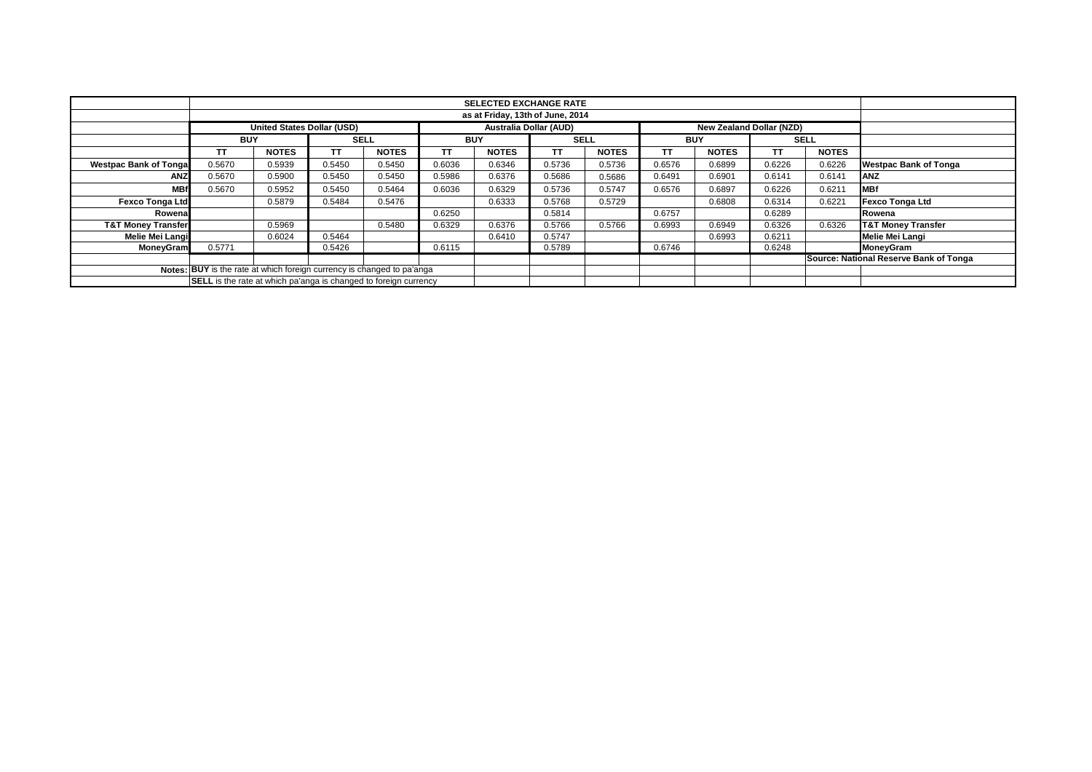|                                                                        |                                                                         |              |        |              |            | <b>SELECTED EXCHANGE RATE</b> |                        |              |            |                                 |        |              |                                        |
|------------------------------------------------------------------------|-------------------------------------------------------------------------|--------------|--------|--------------|------------|-------------------------------|------------------------|--------------|------------|---------------------------------|--------|--------------|----------------------------------------|
|                                                                        |                                                                         |              |        |              |            |                               |                        |              |            |                                 |        |              |                                        |
|                                                                        | United States Dollar (USD)                                              |              |        |              |            |                               | Australia Dollar (AUD) |              |            | <b>New Zealand Dollar (NZD)</b> |        |              |                                        |
|                                                                        | <b>BUY</b>                                                              |              |        | <b>SELL</b>  | <b>BUY</b> |                               | <b>SELL</b>            |              | <b>BUY</b> |                                 |        | <b>SELL</b>  |                                        |
|                                                                        | <b>TT</b>                                                               | <b>NOTES</b> | TΤ     | <b>NOTES</b> | TΤ         | <b>NOTES</b>                  | ТT                     | <b>NOTES</b> | <b>TT</b>  | <b>NOTES</b>                    | TТ     | <b>NOTES</b> |                                        |
| <b>Westpac Bank of Tongal</b>                                          | 0.5670                                                                  | 0.5939       | 0.5450 | 0.5450       | 0.6036     | 0.6346                        | 0.5736                 | 0.5736       | 0.6576     | 0.6899                          | 0.6226 | 0.6226       | <b>Westpac Bank of Tonga</b>           |
| <b>ANZ</b>                                                             | 0.5670                                                                  | 0.5900       | 0.5450 | 0.5450       | 0.5986     | 0.6376                        | 0.5686                 | 0.5686       | 0.6491     | 0.6901                          | 0.6141 | 0.6141       | <b>ANZ</b>                             |
| <b>MB</b>                                                              | 0.5670                                                                  | 0.5952       | 0.5450 | 0.5464       | 0.6036     | 0.6329                        | 0.5736                 | 0.5747       | 0.6576     | 0.6897                          | 0.6226 | 0.6211       | <b>MBf</b>                             |
| <b>Fexco Tonga Ltd</b>                                                 |                                                                         | 0.5879       | 0.5484 | 0.5476       |            | 0.6333                        | 0.5768                 | 0.5729       |            | 0.6808                          | 0.6314 | 0.6221       | <b>Fexco Tonga Ltd</b>                 |
| Rowena                                                                 |                                                                         |              |        |              | 0.6250     |                               | 0.5814                 |              | 0.6757     |                                 | 0.6289 |              | Rowena                                 |
| <b>T&amp;T Money Transfer</b>                                          |                                                                         | 0.5969       |        | 0.5480       | 0.6329     | 0.6376                        | 0.5766                 | 0.5766       | 0.6993     | 0.6949                          | 0.6326 | 0.6326       | <b>T&amp;T Money Transfer</b>          |
| Melie Mei Langi                                                        |                                                                         | 0.6024       | 0.5464 |              |            | 0.6410                        | 0.5747                 |              |            | 0.6993                          | 0.6211 |              | Melie Mei Langi                        |
| <b>MoneyGram</b>                                                       | 0.5771                                                                  |              | 0.5426 |              | 0.6115     |                               | 0.5789                 |              | 0.6746     |                                 | 0.6248 |              | MoneyGram                              |
|                                                                        |                                                                         |              |        |              |            |                               |                        |              |            |                                 |        |              | Source: National Reserve Bank of Tonga |
| Notes: BUY is the rate at which foreign currency is changed to pa'anga |                                                                         |              |        |              |            |                               |                        |              |            |                                 |        |              |                                        |
|                                                                        | <b>SELL</b> is the rate at which pa'anga is changed to foreign currency |              |        |              |            |                               |                        |              |            |                                 |        |              |                                        |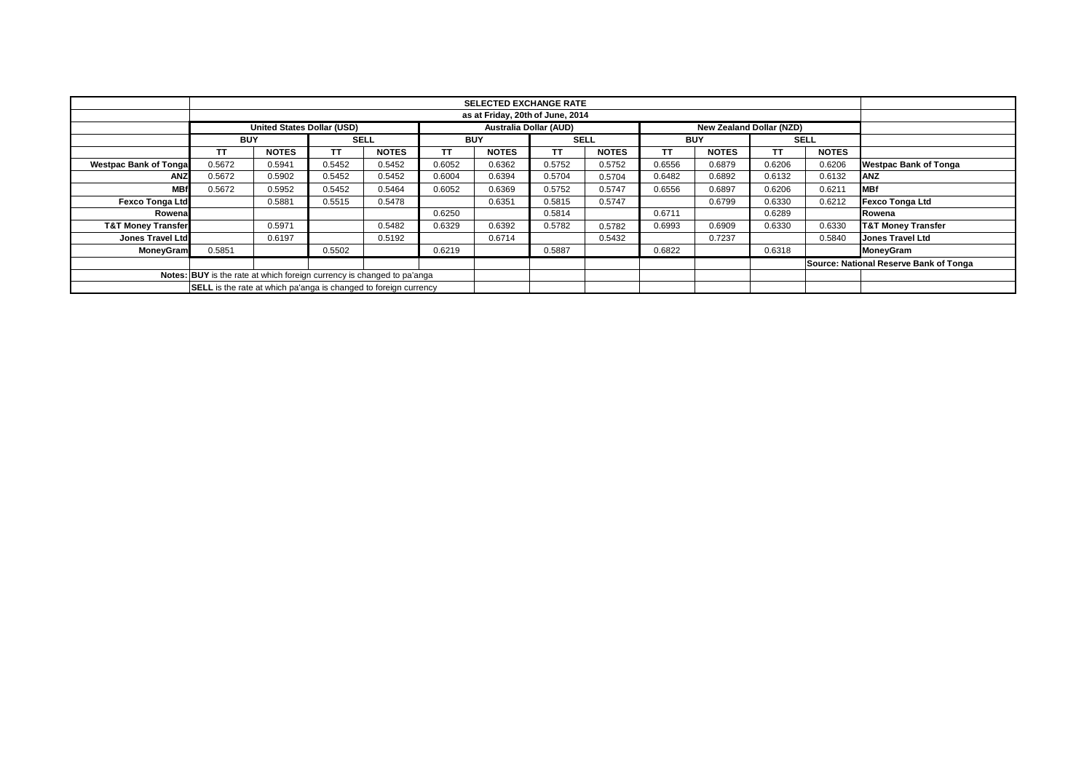|                               |                                                                         |                                  |        |              |            | <b>SELECTED EXCHANGE RATE</b> |                                                                  |              |        |              |             |              |                                        |  |
|-------------------------------|-------------------------------------------------------------------------|----------------------------------|--------|--------------|------------|-------------------------------|------------------------------------------------------------------|--------------|--------|--------------|-------------|--------------|----------------------------------------|--|
|                               |                                                                         | as at Friday, 20th of June, 2014 |        |              |            |                               |                                                                  |              |        |              |             |              |                                        |  |
|                               | United States Dollar (USD)                                              |                                  |        |              |            |                               | <b>Australia Dollar (AUD)</b><br><b>New Zealand Dollar (NZD)</b> |              |        |              |             |              |                                        |  |
|                               | <b>BUY</b>                                                              |                                  |        | <b>SELL</b>  | <b>BUY</b> |                               | <b>SELL</b>                                                      |              |        | <b>BUY</b>   | <b>SELL</b> |              |                                        |  |
|                               | <b>TT</b>                                                               | <b>NOTES</b>                     | ТT     | <b>NOTES</b> | <b>TT</b>  | <b>NOTES</b>                  | <b>TT</b>                                                        | <b>NOTES</b> | TΤ     | <b>NOTES</b> | ТT          | <b>NOTES</b> |                                        |  |
| <b>Westpac Bank of Tongal</b> | 0.5672                                                                  | 0.5941                           | 0.5452 | 0.5452       | 0.6052     | 0.6362                        | 0.5752                                                           | 0.5752       | 0.6556 | 0.6879       | 0.6206      | 0.6206       | <b>Westpac Bank of Tonga</b>           |  |
| ANZ                           | 0.5672                                                                  | 0.5902                           | 0.5452 | 0.5452       | 0.6004     | 0.6394                        | 0.5704                                                           | 0.5704       | 0.6482 | 0.6892       | 0.6132      | 0.6132       | <b>ANZ</b>                             |  |
| <b>MB</b>                     | 0.5672                                                                  | 0.5952                           | 0.5452 | 0.5464       | 0.6052     | 0.6369                        | 0.5752                                                           | 0.5747       | 0.6556 | 0.6897       | 0.6206      | 0.6211       | <b>MBf</b>                             |  |
| <b>Fexco Tonga Ltd</b>        |                                                                         | 0.5881                           | 0.5515 | 0.5478       |            | 0.6351                        | 0.5815                                                           | 0.5747       |        | 0.6799       | 0.6330      | 0.6212       | <b>Fexco Tonga Ltd</b>                 |  |
| Rowena                        |                                                                         |                                  |        |              | 0.6250     |                               | 0.5814                                                           |              | 0.6711 |              | 0.6289      |              | Rowena                                 |  |
| <b>T&amp;T Money Transfer</b> |                                                                         | 0.5971                           |        | 0.5482       | 0.6329     | 0.6392                        | 0.5782                                                           | 0.5782       | 0.6993 | 0.6909       | 0.6330      | 0.6330       | <b>T&amp;T Money Transfer</b>          |  |
| <b>Jones Travel Ltd</b>       |                                                                         | 0.6197                           |        | 0.5192       |            | 0.6714                        |                                                                  | 0.5432       |        | 0.7237       |             | 0.5840       | Jones Travel Ltd                       |  |
| MoneyGram                     | 0.5851                                                                  |                                  | 0.5502 |              | 0.6219     |                               | 0.5887                                                           |              | 0.6822 |              | 0.6318      |              | <b>MoneyGram</b>                       |  |
|                               |                                                                         |                                  |        |              |            |                               |                                                                  |              |        |              |             |              | Source: National Reserve Bank of Tonga |  |
|                               | Notes: BUY is the rate at which foreign currency is changed to pa'anga  |                                  |        |              |            |                               |                                                                  |              |        |              |             |              |                                        |  |
|                               | <b>SELL</b> is the rate at which pa'anga is changed to foreign currency |                                  |        |              |            |                               |                                                                  |              |        |              |             |              |                                        |  |